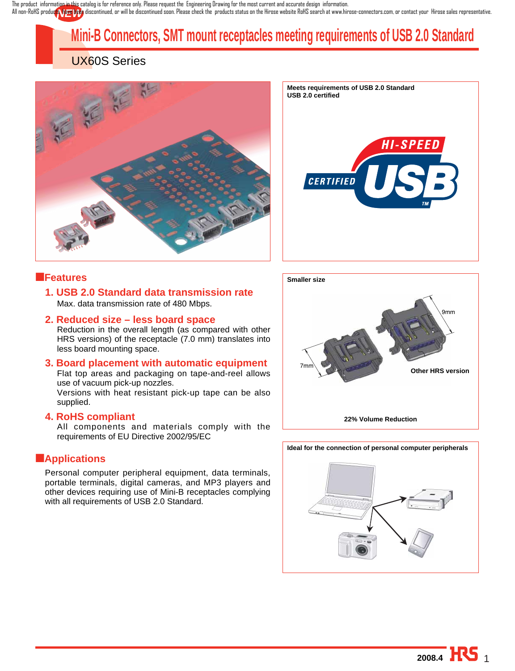All non-RoHS product<mark>s there</mark> been discontinued, or will be discontinued soon. Please check the products status on the Hirose website RoHS search at www.hirose-connectors.com, or contact your Hirose sales representative. The product information in this catalog is for reference only. Please request the Engineering Drawing for the most current and accurate design information.

# **Mini-B Connectors, SMT mount receptacles meeting requirements of USB 2.0 Standard**

## UX60S Series





### ■**Features**

**1. USB 2.0 Standard data transmission rate**  Max. data transmission rate of 480 Mbps.

### **2. Reduced size – less board space**

Reduction in the overall length (as compared with other HRS versions) of the receptacle (7.0 mm) translates into less board mounting space.

#### **3. Board placement with automatic equipment** Flat top areas and packaging on tape-and-reel allows use of vacuum pick-up nozzles.

Versions with heat resistant pick-up tape can be also supplied.

#### **4. RoHS compliant**

All components and materials comply with the requirements of EU Directive 2002/95/EC

### ■**Applications**

Personal computer peripheral equipment, data terminals, portable terminals, digital cameras, and MP3 players and other devices requiring use of Mini-B receptacles complying with all requirements of USB 2.0 Standard.



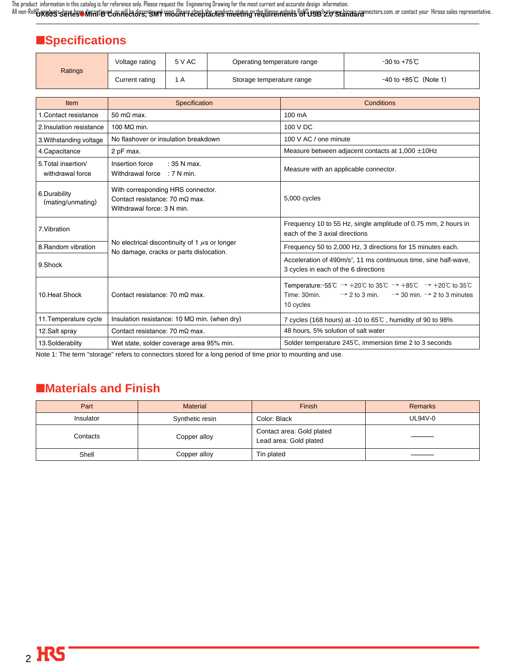**UX60S Series**●**Mini-B Connectors, SMT mount receptacles meeting requirements of USB 2.0 Standard** The product information in this catalog is for reference only. Please request the Engineering Drawing for the most current and accurate design information. All non-RoHS **products have been discontinued, or will be discontinued soon. Please check the products status on the Airpose website RoHS search at www.hirose-connectors.com, or contact your Hirose sales representative.** 

## ■**Specifications**

| Ratings | Voltage rating | 5 V AC | Operating temperature range | -30 to +75℃                     |
|---------|----------------|--------|-----------------------------|---------------------------------|
|         | Current rating |        | Storage temperature range   | $-40$ to $+85^{\circ}$ (Note 1) |

| <b>Item</b>                             | Specification                                                                                                    | Conditions                                                                                                                                                                                                 |
|-----------------------------------------|------------------------------------------------------------------------------------------------------------------|------------------------------------------------------------------------------------------------------------------------------------------------------------------------------------------------------------|
| 1. Contact resistance                   | 50 m $\Omega$ max.                                                                                               | 100 mA                                                                                                                                                                                                     |
| 2. Insulation resistance                | 100 $M\Omega$ min.                                                                                               | 100 V DC                                                                                                                                                                                                   |
| 3. Withstanding voltage                 | No flashover or insulation breakdown                                                                             | 100 V AC / one minute                                                                                                                                                                                      |
| 4.Capacitance                           | 2 pF max.                                                                                                        | Measure between adjacent contacts at $1,000 \pm 10$ Hz                                                                                                                                                     |
| 5. Total insertion/<br>withdrawal force | Insertion force<br>$: 35$ N max.<br>Withdrawal force : 7 N min.                                                  | Measure with an applicable connector.                                                                                                                                                                      |
| 6.Durability<br>(mating/unmating)       | With corresponding HRS connector.<br>Contact resistance: $70 \text{ m}\Omega$ max.<br>Withdrawal force: 3 N min. | 5,000 cycles                                                                                                                                                                                               |
| 7. Vibration                            |                                                                                                                  | Frequency 10 to 55 Hz, single amplitude of 0.75 mm, 2 hours in<br>each of the 3 axial directions                                                                                                           |
| 8. Random vibration                     | No electrical discontinuity of 1 $\mu$ s or longer<br>No damage, cracks or parts dislocation.                    | Frequency 50 to 2,000 Hz, 3 directions for 15 minutes each.                                                                                                                                                |
| 9.Shock                                 |                                                                                                                  | Acceleration of 490m/s <sup>2</sup> , 11 ms continuous time, sine half-wave,<br>3 cycles in each of the 6 directions                                                                                       |
| 10. Heat Shock                          | Contact resistance: $70 \text{ m}\Omega$ max.                                                                    | Temperature:-55°C $\rightarrow$ +20°C to 35°C $\rightarrow$ +85°C $\rightarrow$ +20°C to 35°C<br>Time: 30min.<br>$\rightarrow$ 2 to 3 min. $\rightarrow$ 30 min. $\rightarrow$ 2 to 3 minutes<br>10 cycles |
| 11. Temperature cycle                   | Insulation resistance: 10 $M\Omega$ min. (when dry)                                                              | 7 cycles (168 hours) at -10 to 65°C, humidity of 90 to 98%                                                                                                                                                 |
| 12.Salt spray                           | Contact resistance: $70 \text{ m}\Omega$ max.                                                                    | 48 hours, 5% solution of salt water                                                                                                                                                                        |
| 13.Solderablity                         | Wet state, solder coverage area 95% min.                                                                         | Solder temperature 245℃, immersion time 2 to 3 seconds                                                                                                                                                     |

Note 1: The term "storage" refers to connectors stored for a long period of time prior to mounting and use.

## ■**Materials and Finish**

| Part      | <b>Material</b> | Finish                                              | <b>Remarks</b> |
|-----------|-----------------|-----------------------------------------------------|----------------|
| Insulator | Synthetic resin | Color: Black                                        | UL94V-0        |
| Contacts  | Copper alloy    | Contact area: Gold plated<br>Lead area: Gold plated |                |
| Shell     | Copper alloy    | Tin plated                                          |                |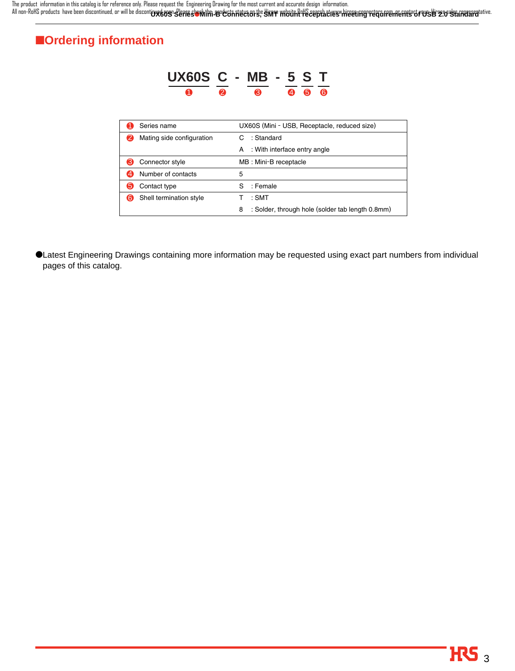UX60S'S SERES OMIRI-B CONNECTORS, SMT KRYK HOURD CEPTACLES MAGET RIGHT REQUIREMENTS OF USB 2.0 <del>ST</del>ARISFO The product information in this catalog is for reference only. Please request the Engineering Drawing for the most current and accurate design information. All non-RoHS products have been discontinued, or will be disconti**nue keen. Please check the medie that we**rk status on the Hirose website RoHS search at www.hirose-connectors.com, or contact your Hirose sales representati

## ■**Ordering information**

|                           | UX60S C - MB - 5 S T                                  |
|---------------------------|-------------------------------------------------------|
| ❷                         | ഭ<br>6<br>Ø)<br>6                                     |
|                           |                                                       |
| Series name               | UX60S (Mini - USB, Receptacle, reduced size)          |
| Mating side configuration | : Standard<br>С                                       |
|                           | : With interface entry angle<br>A                     |
| 3<br>Connector style      | MB : Mini-B receptacle                                |
| Number of contacts<br>4   | 5                                                     |
| Contact type<br>5         | S<br>: Female                                         |
| Shell termination style   | : SMT                                                 |
|                           | 8<br>: Solder, through hole (solder tab length 0.8mm) |

●Latest Engineering Drawings containing more information may be requested using exact part numbers from individual pages of this catalog.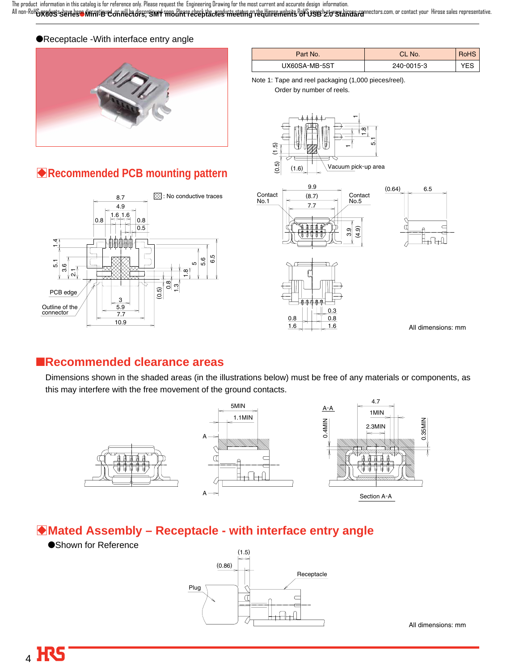All non-RoH**&yedyssderfdes Nimitier Connectors, siver middlete Glass decepted the stating ted unreaments Berges 20 standard nectors.com, or contact your Hirose sales representative.** The product information in this catalog is for reference only. Please request the Engineering Drawing for the most current and accurate design information.

#### ●Receptacle -With interface entry angle



### Part No. CL No. RoHS UX60SA-MB-5ST 240-0015-3 YES

Note 1: Tape and reel packaging (1,000 pieces/reel).

Order by number of reels.









0.8

 $0.3$ 

1.6 1.6

 $0.8$ 

All dimensions: mm

### ■**Recommended clearance areas**

Dimensions shown in the shaded areas (in the illustrations below) must be free of any materials or components, as this may interfere with the free movement of the ground contacts.



### B**Mated Assembly – Receptacle - with interface entry angle**

●Shown for Reference



All dimensions: mm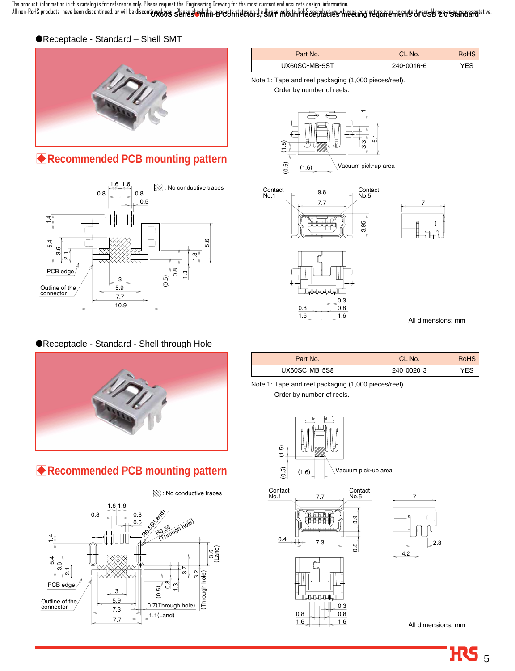All non-RoHS products have been discontinued, or will be disconti**ng&ogrseresterMith-usrochtiffers and the simme mbithfuls eepplactus whice they reconferments of user searchard ative.** The product information in this catalog is for reference only. Please request the Engineering Drawing for the most current and accurate design information.

### ●Receptacle - Standard – Shell SMT



## B**Recommended PCB mounting pattern**



#### ●Receptacle - Standard - Shell through Hole



## B**Recommended PCB mounting pattern**



| Part No.      | CL No.     | RoHS |
|---------------|------------|------|
| UX60SC-MB-5ST | 240-0016-6 |      |

Note 1: Tape and reel packaging (1,000 pieces/reel).

Order by number of reels.





All dimensions: mm

| Part No.      | CL No.     |     |
|---------------|------------|-----|
| UX60SC-MB-5S8 | 240-0020-3 | ⁄ES |

Note 1: Tape and reel packaging (1,000 pieces/reel).

Order by number of reels.



All dimensions: mm

2.8

7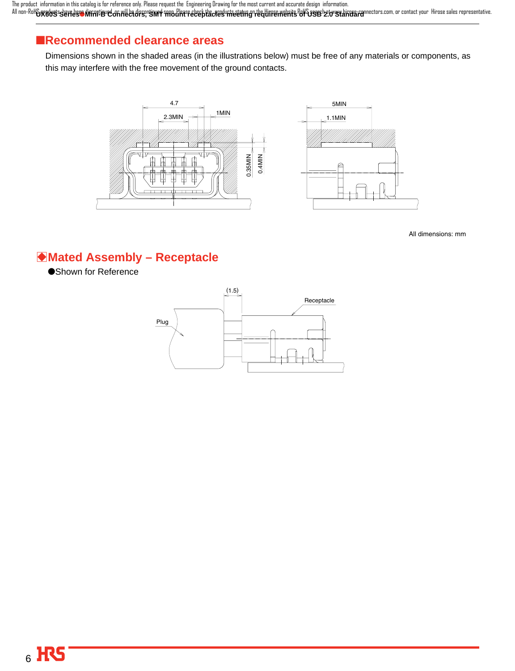**UX60S Series**●**Mini-B Connectors, SMT mount receptacles meeting requirements of USB 2.0 Standard** The product information in this catalog is for reference only. Please request the Engineering Drawing for the most current and accurate design information. All non-RoHS **products have been discontinued, or will be discontinued soon. Please check the products status on the Airpose website RoHS search at www.hirose-connectors.com, or contact your Hirose sales representative.** 

## ■**Recommended clearance areas**

Dimensions shown in the shaded areas (in the illustrations below) must be free of any materials or components, as this may interfere with the free movement of the ground contacts.



All dimensions: mm

## **Mated Assembly - Receptacle**

●Shown for Reference